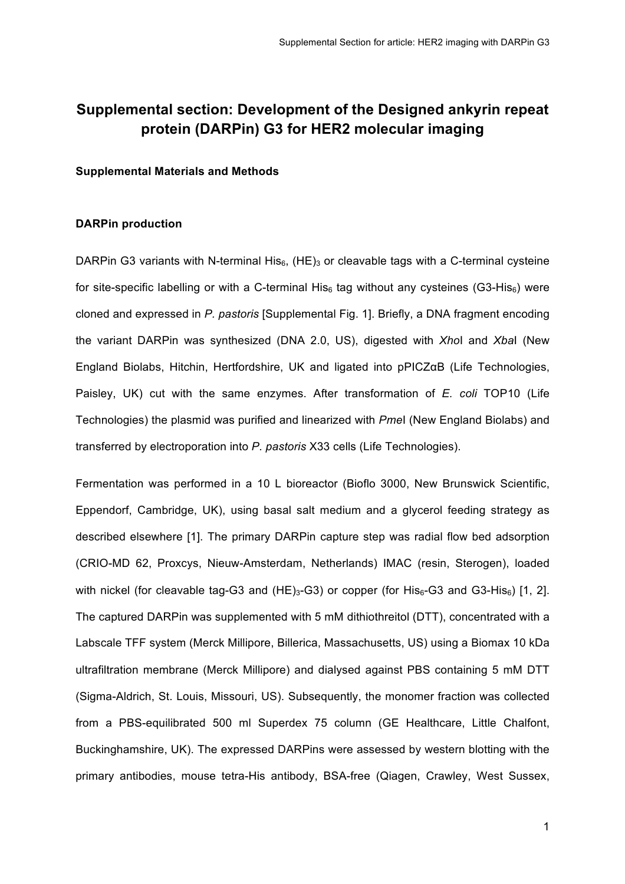# **Supplemental section: Development of the Designed ankyrin repeat protein (DARPin) G3 for HER2 molecular imaging**

#### **Supplemental Materials and Methods**

#### **DARPin production**

DARPin G3 variants with N-terminal His<sub>6</sub>,  $(HE)$ <sub>3</sub> or cleavable tags with a C-terminal cysteine for site-specific labelling or with a C-terminal His<sub>6</sub> tag without any cysteines (G3-His<sub>6</sub>) were cloned and expressed in *P. pastoris* [Supplemental Fig. 1]. Briefly, a DNA fragment encoding the variant DARPin was synthesized (DNA 2.0, US), digested with *Xho*I and *Xba*I (New England Biolabs, Hitchin, Hertfordshire, UK and ligated into pPICZαB (Life Technologies, Paisley, UK) cut with the same enzymes. After transformation of *E. coli* TOP10 (Life Technologies) the plasmid was purified and linearized with *Pme*I (New England Biolabs) and transferred by electroporation into *P. pastoris* X33 cells (Life Technologies).

Fermentation was performed in a 10 L bioreactor (Bioflo 3000, New Brunswick Scientific, Eppendorf, Cambridge, UK), using basal salt medium and a glycerol feeding strategy as described elsewhere [1]. The primary DARPin capture step was radial flow bed adsorption (CRIO-MD 62, Proxcys, Nieuw-Amsterdam, Netherlands) IMAC (resin, Sterogen), loaded with nickel (for cleavable tag-G3 and  $(HE)_{3}$ -G3) or copper (for His $_{6}$ -G3 and G3-His $_{6}$ ) [1, 2]. The captured DARPin was supplemented with 5 mM dithiothreitol (DTT), concentrated with a Labscale TFF system (Merck Millipore, Billerica, Massachusetts, US) using a Biomax 10 kDa ultrafiltration membrane (Merck Millipore) and dialysed against PBS containing 5 mM DTT (Sigma-Aldrich, St. Louis, Missouri, US). Subsequently, the monomer fraction was collected from a PBS-equilibrated 500 ml Superdex 75 column (GE Healthcare, Little Chalfont, Buckinghamshire, UK). The expressed DARPins were assessed by western blotting with the primary antibodies, mouse tetra-His antibody, BSA-free (Qiagen, Crawley, West Sussex,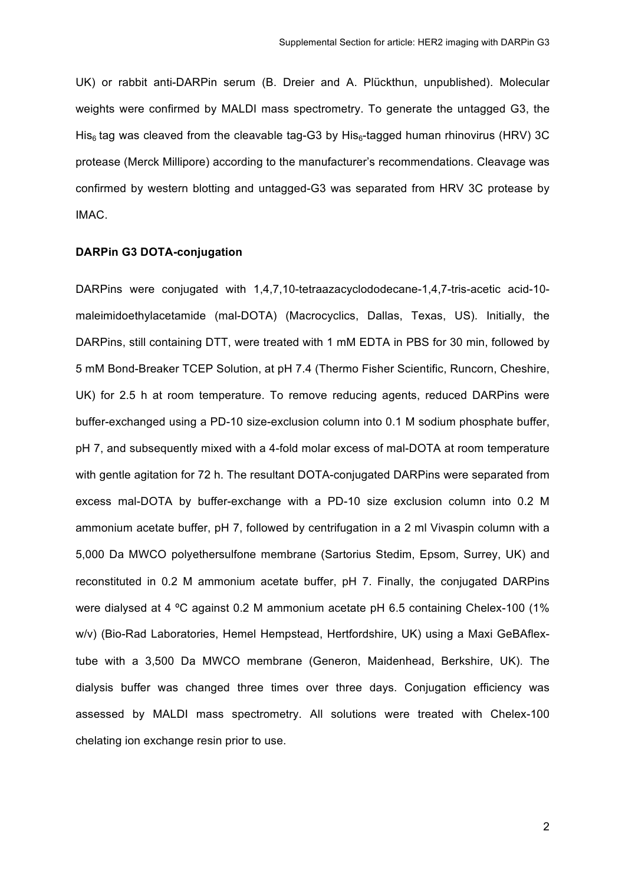UK) or rabbit anti-DARPin serum (B. Dreier and A. Plückthun, unpublished). Molecular weights were confirmed by MALDI mass spectrometry. To generate the untagged G3, the His<sub>6</sub> tag was cleaved from the cleavable tag-G3 by His<sub>6</sub>-tagged human rhinovirus (HRV) 3C protease (Merck Millipore) according to the manufacturer's recommendations. Cleavage was confirmed by western blotting and untagged-G3 was separated from HRV 3C protease by IMAC.

#### **DARPin G3 DOTA-conjugation**

DARPins were conjugated with 1,4,7,10-tetraazacyclododecane-1,4,7-tris-acetic acid-10 maleimidoethylacetamide (mal-DOTA) (Macrocyclics, Dallas, Texas, US). Initially, the DARPins, still containing DTT, were treated with 1 mM EDTA in PBS for 30 min, followed by 5 mM Bond-Breaker TCEP Solution, at pH 7.4 (Thermo Fisher Scientific, Runcorn, Cheshire, UK) for 2.5 h at room temperature. To remove reducing agents, reduced DARPins were buffer-exchanged using a PD-10 size-exclusion column into 0.1 M sodium phosphate buffer, pH 7, and subsequently mixed with a 4-fold molar excess of mal-DOTA at room temperature with gentle agitation for 72 h. The resultant DOTA-conjugated DARPins were separated from excess mal-DOTA by buffer-exchange with a PD-10 size exclusion column into 0.2 M ammonium acetate buffer, pH 7, followed by centrifugation in a 2 ml Vivaspin column with a 5,000 Da MWCO polyethersulfone membrane (Sartorius Stedim, Epsom, Surrey, UK) and reconstituted in 0.2 M ammonium acetate buffer, pH 7. Finally, the conjugated DARPins were dialysed at 4 °C against 0.2 M ammonium acetate pH 6.5 containing Chelex-100 (1% w/v) (Bio-Rad Laboratories, Hemel Hempstead, Hertfordshire, UK) using a Maxi GeBAflextube with a 3,500 Da MWCO membrane (Generon, Maidenhead, Berkshire, UK). The dialysis buffer was changed three times over three days. Conjugation efficiency was assessed by MALDI mass spectrometry. All solutions were treated with Chelex-100 chelating ion exchange resin prior to use.

2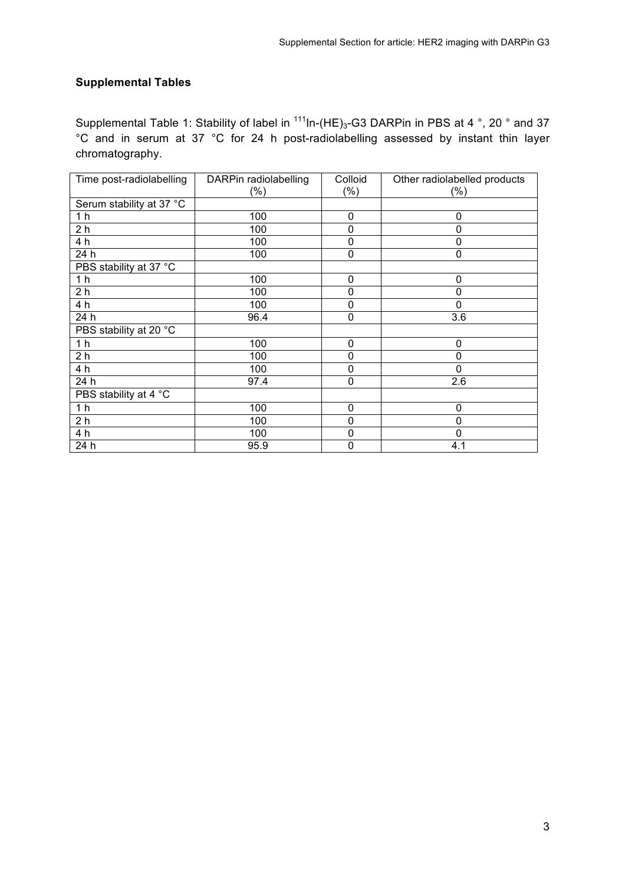## **Supplemental Tables**

Supplemental Table 1: Stability of label in  $111$ In-(HE)<sub>3</sub>-G3 DARPin in PBS at 4  $\degree$ , 20  $\degree$  and 37 °C and in serum at 37 °C for 24 h post-radiolabelling assessed by instant thin layer chromatography.

| Time post-radiolabelling | DARPin radiolabelling | Colloid     | Other radiolabelled products |
|--------------------------|-----------------------|-------------|------------------------------|
|                          | (%)                   | $(\% )$     | $(\%)$                       |
| Serum stability at 37 °C |                       |             |                              |
| 1 <sub>h</sub>           | 100                   | $\pmb{0}$   | 0                            |
| 2 <sub>h</sub>           | 100                   | 0           | $\Omega$                     |
| 4 h                      | 100                   | 0           | 0                            |
| 24 h                     | 100                   | 0           | 0                            |
| PBS stability at 37 °C   |                       |             |                              |
| 1 <sub>h</sub>           | 100                   | 0           | $\Omega$                     |
| 2 <sub>h</sub>           | 100                   | 0           | $\mathbf 0$                  |
| 4 h                      | 100                   | 0           | 0                            |
| 24 h                     | 96.4                  | 0           | 3.6                          |
| PBS stability at 20 °C   |                       |             |                              |
| 1 <sub>h</sub>           | 100                   | 0           | $\mathbf 0$                  |
| 2 <sub>h</sub>           | 100                   | 0           | 0                            |
| 4 h                      | 100                   | 0           | $\mathbf 0$                  |
| 24 h                     | 97.4                  | 0           | 2.6                          |
| PBS stability at 4 °C    |                       |             |                              |
| 1 <sub>h</sub>           | 100                   | 0           | $\mathbf 0$                  |
| 2 <sub>h</sub>           | 100                   | 0           | 0                            |
| 4 h                      | 100                   | 0           | $\mathbf{0}$                 |
| 24 h                     | 95.9                  | $\mathbf 0$ | 4.1                          |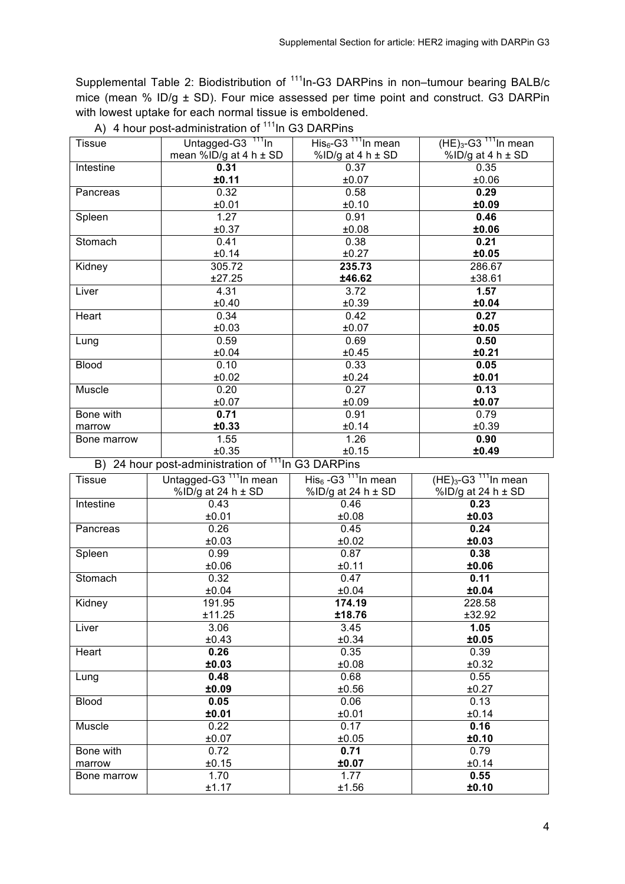Supplemental Table 2: Biodistribution of <sup>111</sup>In-G3 DARPins in non-tumour bearing BALB/c mice (mean % ID/g  $\pm$  SD). Four mice assessed per time point and construct. G3 DARPin with lowest uptake for each normal tissue is emboldened.

| <b>Tissue</b> | Untagged-G3 <sup>111</sup> In | His <sub>6</sub> -G3 <sup>111</sup> In mean | $(HE)_{3}$ -G3 <sup>111</sup> In mean |
|---------------|-------------------------------|---------------------------------------------|---------------------------------------|
|               | mean %ID/g at 4 h $\pm$ SD    | %ID/g at $4 h \pm SD$                       | %ID/g at $4 h \pm SD$                 |
| Intestine     | 0.31                          | 0.37                                        | 0.35                                  |
|               | ±0.11                         | ±0.07                                       | ±0.06                                 |
| Pancreas      | 0.32                          | 0.58                                        | 0.29                                  |
|               | ±0.01                         | ±0.10                                       | ±0.09                                 |
| Spleen        | 1.27                          | 0.91                                        | 0.46                                  |
|               | ±0.37                         | ±0.08                                       | ±0.06                                 |
| Stomach       | 0.41                          | 0.38                                        | 0.21                                  |
|               | ±0.14                         | ±0.27                                       | ±0.05                                 |
| Kidney        | 305.72                        | 235.73                                      | 286.67                                |
|               | ±27.25                        | ±46.62                                      | ±38.61                                |
| Liver         | 4.31                          | 3.72                                        | 1.57                                  |
|               | ±0.40                         | ±0.39                                       | ±0.04                                 |
| Heart         | 0.34                          | 0.42                                        | 0.27                                  |
|               | ±0.03                         | ±0.07                                       | ±0.05                                 |
| Lung          | 0.59                          | 0.69                                        | 0.50                                  |
|               | ±0.04                         | ±0.45                                       | ±0.21                                 |
| <b>Blood</b>  | 0.10                          | 0.33                                        | 0.05                                  |
|               | ±0.02                         | ±0.24                                       | ±0.01                                 |
| Muscle        | 0.20                          | 0.27                                        | 0.13                                  |
|               | ±0.07                         | ±0.09                                       | ±0.07                                 |
| Bone with     | 0.71                          | 0.91                                        | 0.79                                  |
| marrow        | ±0.33                         | ±0.14                                       | ±0.39                                 |
| Bone marrow   | 1.55                          | 1.26                                        | 0.90                                  |
|               | ±0.35                         | ±0.15                                       | ±0.49                                 |

A) 4 hour post-administration of  $111$ In G3 DARPins

B) 24 hour post-administration of <sup>111</sup>In G3 DARPins

| <b>Tissue</b> | Untagged-G3 <sup>111</sup> In mean | $His6 - G3111 In mean$ | $(HE)_{3}$ -G3 <sup>111</sup> In mean |
|---------------|------------------------------------|------------------------|---------------------------------------|
|               | %ID/g at 24 h $\pm$ SD             | %ID/g at 24 h $\pm$ SD | %ID/g at 24 h $\pm$ SD                |
| Intestine     | 0.43                               | 0.46                   | 0.23                                  |
|               | ±0.01                              | ±0.08                  | ±0.03                                 |
| Pancreas      | 0.26                               | 0.45                   | 0.24                                  |
|               | ±0.03                              | ±0.02                  | ±0.03                                 |
| Spleen        | 0.99                               | 0.87                   | 0.38                                  |
|               | ±0.06                              | ±0.11                  | ±0.06                                 |
| Stomach       | 0.32                               | 0.47                   | 0.11                                  |
|               | ±0.04                              | ±0.04                  | ±0.04                                 |
| Kidney        | 191.95                             | 174.19                 | 228.58                                |
|               | ±11.25                             | ±18.76                 | ±32.92                                |
| Liver         | 3.06                               | 3.45                   | 1.05                                  |
|               | ±0.43                              | ±0.34                  | ±0.05                                 |
| Heart         | 0.26                               | 0.35                   | 0.39                                  |
|               | ±0.03                              | ±0.08                  | ±0.32                                 |
| Lung          | 0.48                               | 0.68                   | 0.55                                  |
|               | ±0.09                              | ±0.56                  | ±0.27                                 |
| <b>Blood</b>  | 0.05                               | 0.06                   | 0.13                                  |
|               | ±0.01                              | ±0.01                  | ±0.14                                 |
| Muscle        | 0.22                               | 0.17                   | 0.16                                  |
|               | ±0.07                              | ±0.05                  | ±0.10                                 |
| Bone with     | 0.72                               | 0.71                   | 0.79                                  |
| marrow        | ±0.15                              | ±0.07                  | ±0.14                                 |
| Bone marrow   | 1.70                               | 1.77                   | 0.55                                  |
|               | ±1.17                              | ±1.56                  | ±0.10                                 |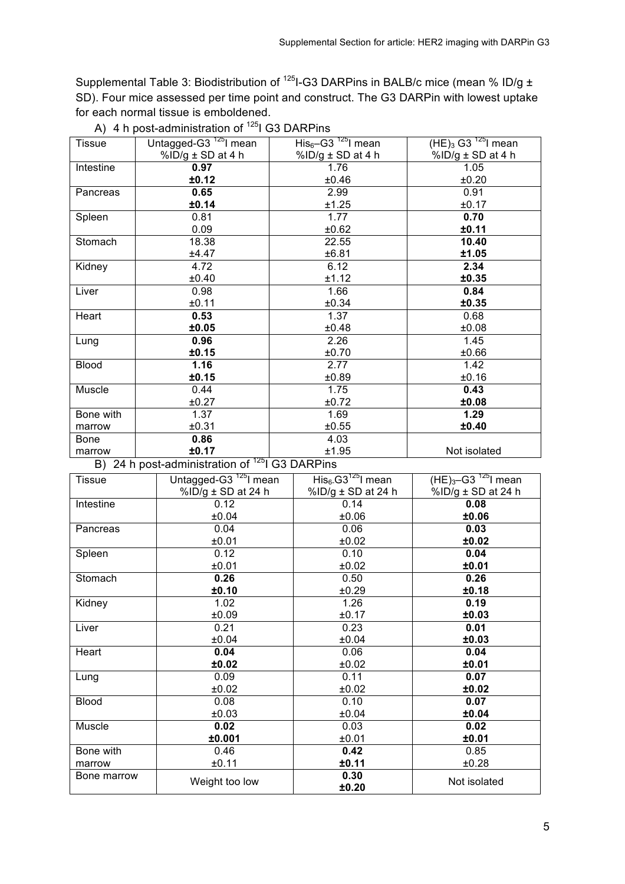Supplemental Table 3: Biodistribution of <sup>125</sup>I-G3 DARPins in BALB/c mice (mean % ID/g ± SD). Four mice assessed per time point and construct. The G3 DARPin with lowest uptake for each normal tissue is emboldened.

| Untagged-G3 <sup>125</sup> I mean | $His6$ -G3 <sup>-125</sup> l mean | $(HE)_{3}$ G3 <sup>125</sup> l mean   |
|-----------------------------------|-----------------------------------|---------------------------------------|
| %ID/g ± SD at 4 h                 | %ID/g ± SD at 4 h                 | %ID/g $\pm$ SD at 4 h                 |
| 0.97                              | 1.76                              | 1.05                                  |
| ±0.12                             | ±0.46                             | ±0.20                                 |
| 0.65                              | 2.99                              | 0.91                                  |
| ±0.14                             | ±1.25                             | ±0.17                                 |
| 0.81                              | 1.77                              | 0.70                                  |
| 0.09                              | ±0.62                             | ±0.11                                 |
| 18.38                             | 22.55                             | 10.40                                 |
| ±4.47                             | ±6.81                             | ±1.05                                 |
| 4.72                              | 6.12                              | 2.34                                  |
| ±0.40                             | ±1.12                             | ±0.35                                 |
| 0.98                              | 1.66                              | 0.84                                  |
| ±0.11                             | ±0.34                             | ±0.35                                 |
| 0.53                              | 1.37                              | 0.68                                  |
| ±0.05                             | ±0.48                             | ±0.08                                 |
| 0.96                              | 2.26                              | 1.45                                  |
| ±0.15                             | ±0.70                             | ±0.66                                 |
| 1.16                              | 2.77                              | 1.42                                  |
| ±0.15                             | ±0.89                             | ±0.16                                 |
| 0.44                              | 1.75                              | 0.43                                  |
| ±0.27                             | ±0.72                             | ±0.08                                 |
| 1.37                              | 1.69                              | 1.29                                  |
| ±0.31                             | ±0.55                             | ±0.40                                 |
| 0.86                              | 4.03                              |                                       |
| ±0.17                             | ±1.95                             | Not isolated                          |
|                                   | $\mathbf{D}$ $\mathbf{A}$         | $\sim$ desinistes is a $1251,000,000$ |

A) 4 h post-administration of <sup>125</sup>I G3 DARPins

B) 24 h post-administration of  $^{125}$ I G3 DARPins

| <b>Tissue</b> | Untagged-G3 <sup>125</sup> l mean | $His6.G3125I mean$ | $(HE)3-G3$ <sup>125</sup> l mean |
|---------------|-----------------------------------|--------------------|----------------------------------|
|               | %ID/g ± SD at 24 h                | %ID/g ± SD at 24 h | %ID/g ± SD at 24 h               |
| Intestine     | 0.12                              | 0.14               | 0.08                             |
|               | ±0.04                             | ±0.06              | ±0.06                            |
| Pancreas      | 0.04                              | 0.06               | 0.03                             |
|               | ±0.01                             | ±0.02              | ±0.02                            |
| Spleen        | 0.12                              | 0.10               | 0.04                             |
|               | ±0.01                             | ±0.02              | ±0.01                            |
| Stomach       | 0.26                              | 0.50               | 0.26                             |
|               | ±0.10                             | ±0.29              | ±0.18                            |
| Kidney        | 1.02                              | 1.26               | 0.19                             |
|               | ±0.09                             | ±0.17              | ±0.03                            |
| Liver         | 0.21                              | 0.23               | 0.01                             |
|               | ±0.04                             | ±0.04              | ±0.03                            |
| Heart         | 0.04                              | 0.06               | 0.04                             |
|               | ±0.02                             | ±0.02              | ±0.01                            |
| Lung          | 0.09                              | 0.11               | 0.07                             |
|               | ±0.02                             | ±0.02              | ±0.02                            |
| <b>Blood</b>  | 0.08                              | 0.10               | 0.07                             |
|               | ±0.03                             | ±0.04              | ±0.04                            |
| Muscle        | 0.02                              | 0.03               | 0.02                             |
|               | ±0.001                            | ±0.01              | ±0.01                            |
| Bone with     | 0.46                              | 0.42               | 0.85                             |
| marrow        | ±0.11                             | ±0.11              | ±0.28                            |
| Bone marrow   | Weight too low                    | 0.30<br>±0.20      | Not isolated                     |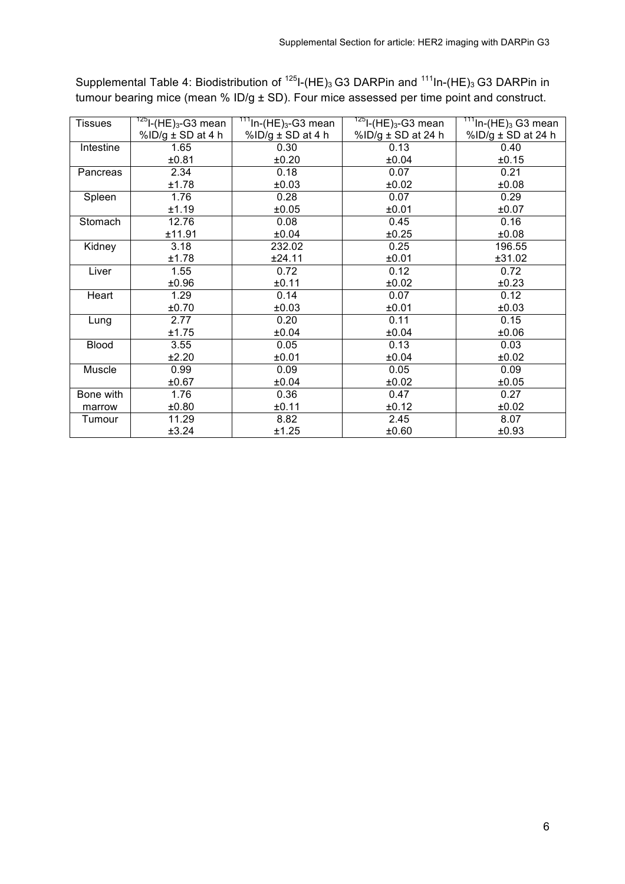| Tissues      | $^{125}$ I-(HE) <sub>3</sub> -G3 mean | <sup>111</sup> In-(HE) <sub>3</sub> -G3 mean | $\frac{125}{125}$ -(HE) <sub>3</sub> -G3 mean | $\frac{111}{111}$ In-(HE) <sub>3</sub> G3 mean |
|--------------|---------------------------------------|----------------------------------------------|-----------------------------------------------|------------------------------------------------|
|              | %ID/g ± SD at 4 h                     | %ID/g ± SD at 4 h                            | %ID/g ± SD at 24 h                            | %ID/g ± SD at 24 h                             |
| Intestine    | 1.65                                  | 0.30                                         | 0.13                                          | 0.40                                           |
|              | ±0.81                                 | ±0.20                                        | ±0.04                                         | ±0.15                                          |
| Pancreas     | 2.34                                  | 0.18                                         | 0.07                                          | 0.21                                           |
|              | ±1.78                                 | ±0.03                                        | ±0.02                                         | ±0.08                                          |
| Spleen       | 1.76                                  | 0.28                                         | 0.07                                          | 0.29                                           |
|              | ±1.19                                 | ±0.05                                        | ±0.01                                         | ±0.07                                          |
| Stomach      | 12.76                                 | 0.08                                         | 0.45                                          | 0.16                                           |
|              | ±11.91                                | ±0.04                                        | ±0.25                                         | ±0.08                                          |
| Kidney       | 3.18                                  | 232.02                                       | 0.25                                          | 196.55                                         |
|              | ±1.78                                 | ±24.11                                       | ±0.01                                         | ±31.02                                         |
| Liver        | 1.55                                  | 0.72                                         | 0.12                                          | 0.72                                           |
|              | ±0.96                                 | ±0.11                                        | ±0.02                                         | ±0.23                                          |
| Heart        | 1.29                                  | 0.14                                         | 0.07                                          | 0.12                                           |
|              | ±0.70                                 | ±0.03                                        | ±0.01                                         | ±0.03                                          |
| Lung         | 2.77                                  | 0.20                                         | 0.11                                          | 0.15                                           |
|              | ±1.75                                 | ±0.04                                        | ±0.04                                         | ±0.06                                          |
| <b>Blood</b> | 3.55                                  | 0.05                                         | 0.13                                          | 0.03                                           |
|              | ±2.20                                 | ±0.01                                        | ±0.04                                         | ±0.02                                          |
| Muscle       | 0.99                                  | 0.09                                         | 0.05                                          | 0.09                                           |
|              | ±0.67                                 | ±0.04                                        | ±0.02                                         | ±0.05                                          |
| Bone with    | 1.76                                  | 0.36                                         | 0.47                                          | 0.27                                           |
| marrow       | ±0.80                                 | ±0.11                                        | ±0.12                                         | ±0.02                                          |
| Tumour       | 11.29                                 | 8.82                                         | 2.45                                          | 8.07                                           |
|              | ±3.24                                 | ±1.25                                        | ±0.60                                         | ±0.93                                          |

Supplemental Table 4: Biodistribution of  $125$ I-(HE)<sub>3</sub> G3 DARPin and  $111$ In-(HE)<sub>3</sub> G3 DARPin in tumour bearing mice (mean % ID/g ± SD). Four mice assessed per time point and construct.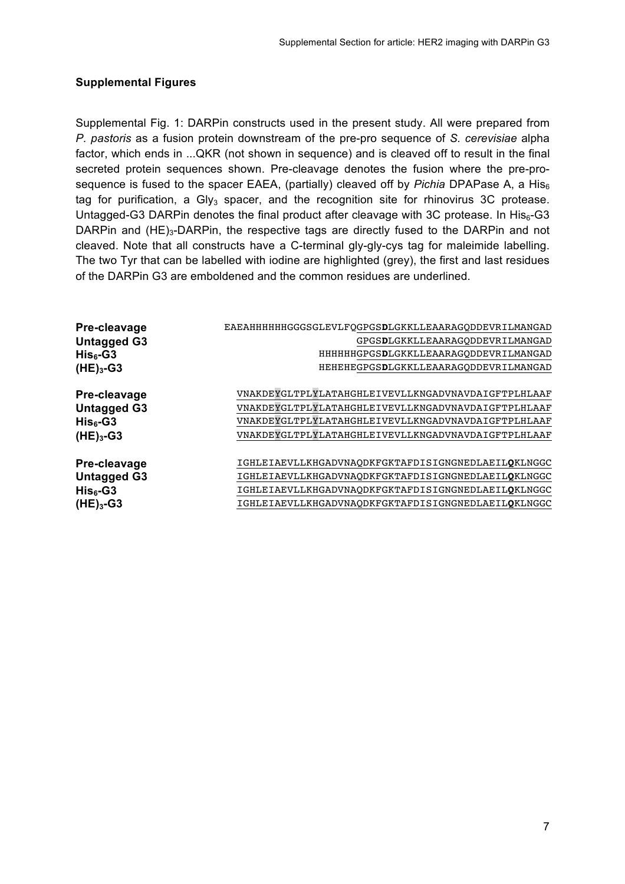## **Supplemental Figures**

Supplemental Fig. 1: DARPin constructs used in the present study. All were prepared from *P. pastoris* as a fusion protein downstream of the pre-pro sequence of *S. cerevisiae* alpha factor, which ends in ...QKR (not shown in sequence) and is cleaved off to result in the final secreted protein sequences shown. Pre-cleavage denotes the fusion where the pre-prosequence is fused to the spacer EAEA, (partially) cleaved off by *Pichia* DPAPase A, a His<sub>6</sub> tag for purification, a Gly $_3$  spacer, and the recognition site for rhinovirus 3C protease. Untagged-G3 DARPin denotes the final product after cleavage with 3C protease. In His<sub>6</sub>-G3 DARPin and  $(HE)_{3}$ -DARPin, the respective tags are directly fused to the DARPin and not cleaved. Note that all constructs have a C-terminal gly-gly-cys tag for maleimide labelling. The two Tyr that can be labelled with iodine are highlighted (grey), the first and last residues of the DARPin G3 are emboldened and the common residues are underlined.

| Pre-cleavage       | EAEAHHHHHHGGGSGLEVLFQGPGSDLGKKLLEAARAGQDDEVRILMANGAD |
|--------------------|------------------------------------------------------|
| <b>Untagged G3</b> | GPGSDLGKKLLEAARAGODDEVRILMANGAD                      |
| $His6-G3$          | HHHHHHGPGSDLGKKLLEAARAGODDEVRILMANGAD                |
| $(HE)3 - G3$       | HEHEHEGPGSDLGKKLLEAARAGQDDEVRILMANGAD                |
| Pre-cleavage       | VNAKDEYGLTPLYLATAHGHLEIVEVLLKNGADVNAVDAIGFTPLHLAAF   |
|                    |                                                      |
| <b>Untagged G3</b> | VNAKDEYGLTPLYLATAHGHLEIVEVLLKNGADVNAVDAIGFTPLHLAAF   |
| $His6-G3$          | VNAKDEYGLTPLYLATAHGHLEIVEVLLKNGADVNAVDAIGFTPLHLAAF   |
| $(HE)3 - G3$       | VNAKDEYGLTPLYLATAHGHLEIVEVLLKNGADVNAVDAIGFTPLHLAAF   |
| Pre-cleavage       | IGHLEIAEVLLKHGADVNAODKFGKTAFDISIGNGNEDLAEILOKLNGGC   |
|                    |                                                      |
| <b>Untagged G3</b> | IGHLEIAEVLLKHGADVNAODKFGKTAFDISIGNGNEDLAEILOKLNGGC   |
| $His6-G3$          | IGHLEIAEVLLKHGADVNAODKFGKTAFDISIGNGNEDLAEILOKLNGGC   |
| $(HE)_{3}$ -G3     | IGHLEIAEVLLKHGADVNAODKFGKTAFDISIGNGNEDLAEILOKLNGGC   |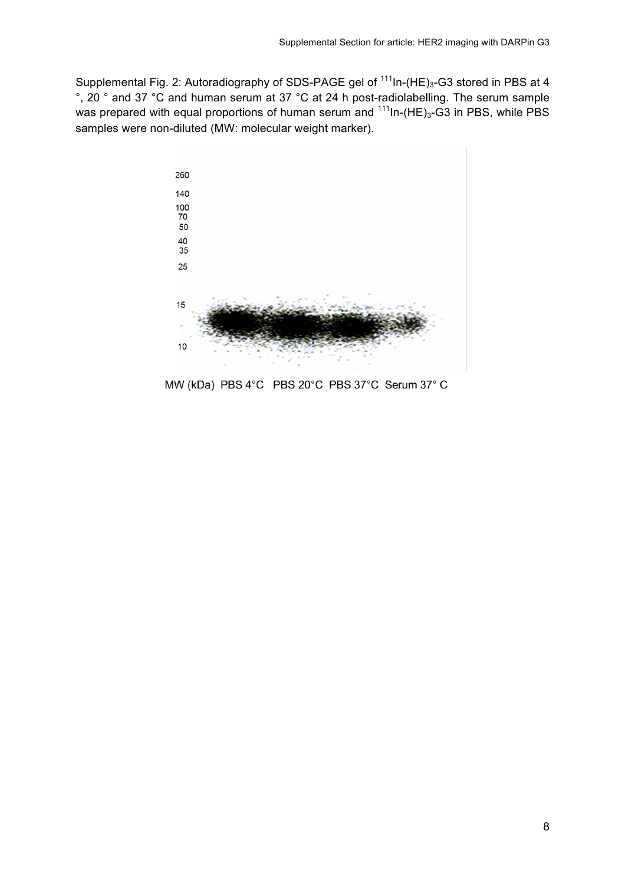Supplemental Fig. 2: Autoradiography of SDS-PAGE gel of <sup>111</sup>In-(HE)<sub>3</sub>-G3 stored in PBS at 4 °, 20 ° and 37 °C and human serum at 37 °C at 24 h post-radiolabelling. The serum sample was prepared with equal proportions of human serum and  $111$ In-(HE)<sub>3</sub>-G3 in PBS, while PBS samples were non-diluted (MW: molecular weight marker).



MW (kDa) PBS 4°C PBS 20°C PBS 37°C Serum 37°C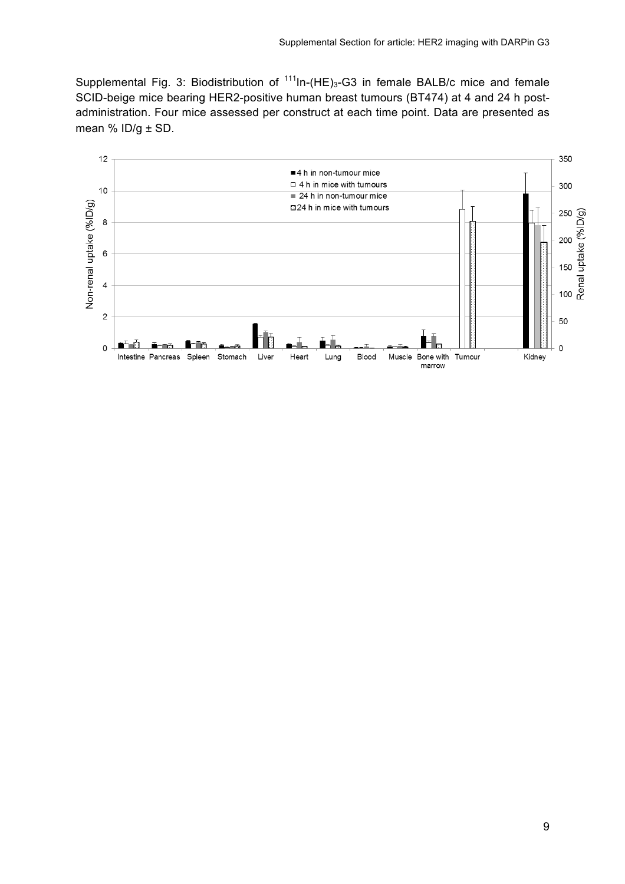Supplemental Fig. 3: Biodistribution of  $111$ In-(HE)<sub>3</sub>-G3 in female BALB/c mice and female SCID-beige mice bearing HER2-positive human breast tumours (BT474) at 4 and 24 h postadministration. Four mice assessed per construct at each time point. Data are presented as mean % ID/g ± SD.

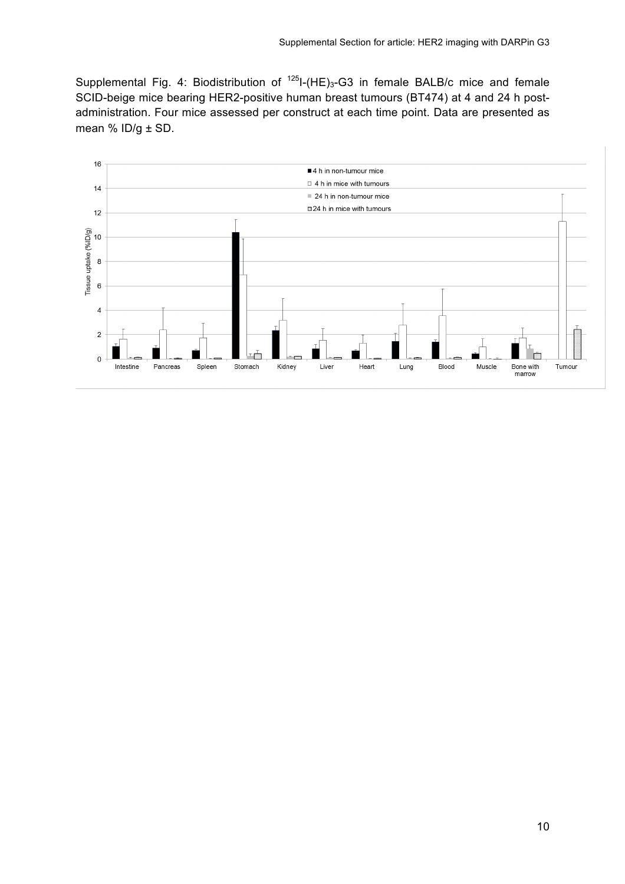Supplemental Fig. 4: Biodistribution of  $125$ I-(HE)<sub>3</sub>-G3 in female BALB/c mice and female SCID-beige mice bearing HER2-positive human breast tumours (BT474) at 4 and 24 h postadministration. Four mice assessed per construct at each time point. Data are presented as mean % ID/g ± SD.